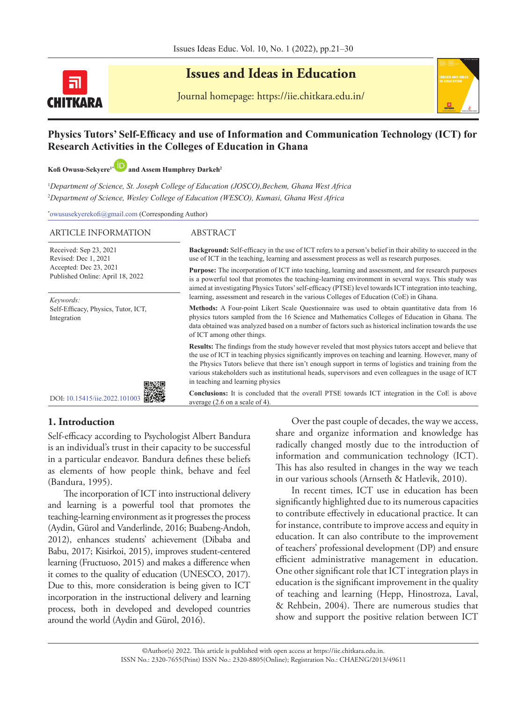

# **Issues and Ideas in Education**

Journal homepage: https://iie.chitkara.edu.in/

#### **Physics Tutors' Self-Efficacy and use of Information and Communication Technology (ICT) for Research Activities in the Colleges of Education in Ghana**

**Kofi Owusu-Sekyere1\*and Assem Humphrey Darkeh<sup>2</sup>**

1 *Department of Science, St. Joseph College of Education (JOSCO),Bechem, Ghana West Africa* 2 *Department of Science, Wesley College of Education (WESCO), Kumasi, Ghana West Africa*

**\*** owususekyerekofi@gmail.com (Corresponding Author)

#### ARTICLE INFORMATION ABSTRACT

Received: Sep 23, 2021 Revised: Dec 1, 2021 Accepted: Dec 23, 2021 Published Online: April 18, 2022

*Keywords:* Self-Efficacy, Physics, Tutor, ICT, Integration



average (2.6 on a scale of 4).

**Background:** Self-efficacy in the use of ICT refers to a person's belief in their ability to succeed in the use of ICT in the teaching, learning and assessment process as well as research purposes.

**Purpose:** The incorporation of ICT into teaching, learning and assessment, and for research purposes is a powerful tool that promotes the teaching-learning environment in several ways. This study was aimed at investigating Physics Tutors' self-efficacy (PTSE) level towards ICT integration into teaching, learning, assessment and research in the various Colleges of Education (CoE) in Ghana.

**Methods:** A Four-point Likert Scale Questionnaire was used to obtain quantitative data from 16 physics tutors sampled from the 16 Science and Mathematics Colleges of Education in Ghana. The data obtained was analyzed based on a number of factors such as historical inclination towards the use of ICT among other things.

**Results:** The findings from the study however reveled that most physics tutors accept and believe that the use of ICT in teaching physics significantly improves on teaching and learning. However, many of the Physics Tutors believe that there isn't enough support in terms of logistics and training from the various stakeholders such as institutional heads, supervisors and even colleagues in the usage of ICT in teaching and learning physics

**Conclusions:** It is concluded that the overall PTSE towards ICT integration in the CoE is above

DOI: [10.15415/iie.2022.101003](https://doi.org/10.15415/iie.2022.101003) 

## **1. Introduction**

Self-efficacy according to Psychologist Albert Bandura is an individual's trust in their capacity to be successful in a particular endeavor. Bandura defines these beliefs as elements of how people think, behave and feel (Bandura, 1995).

The incorporation of ICT into instructional delivery and learning is a powerful tool that promotes the teaching-learning environment as it progresses the process (Aydin, Gürol and Vanderlinde, 2016; Buabeng-Andoh, 2012), enhances students' achievement (Dibaba and Babu, 2017; Kisirkoi, 2015), improves student-centered learning (Fructuoso, 2015) and makes a difference when it comes to the quality of education (UNESCO, 2017). Due to this, more consideration is being given to ICT incorporation in the instructional delivery and learning process, both in developed and developed countries around the world (Aydin and Gürol, 2016).

Over the past couple of decades, the way we access, share and organize information and knowledge has radically changed mostly due to the introduction of information and communication technology (ICT). This has also resulted in changes in the way we teach in our various schools (Arnseth & Hatlevik, 2010).

In recent times, ICT use in education has been significantly highlighted due to its numerous capacities to contribute effectively in educational practice. It can for instance, contribute to improve access and equity in education. It can also contribute to the improvement of teachers' professional development (DP) and ensure efficient administrative management in education. One other significant role that ICT integration plays in education is the significant improvement in the quality of teaching and learning (Hepp, Hinostroza, Laval, & Rehbein, 2004). There are numerous studies that show and support the positive relation between ICT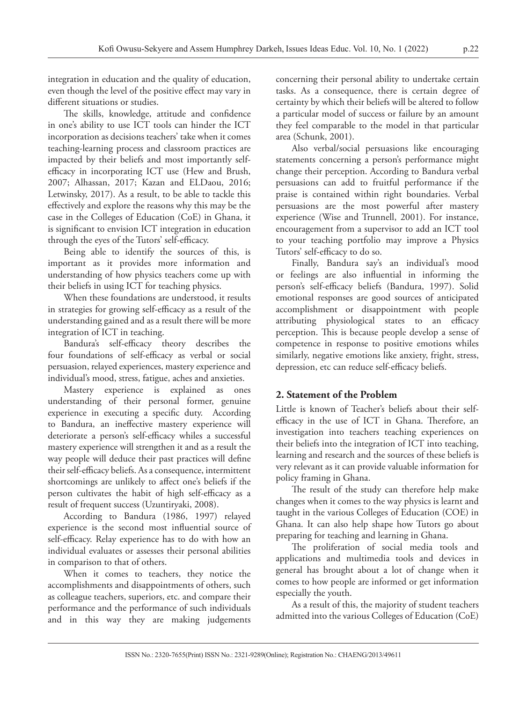integration in education and the quality of education, even though the level of the positive effect may vary in different situations or studies.

The skills, knowledge, attitude and confidence in one's ability to use ICT tools can hinder the ICT incorporation as decisions teachers' take when it comes teaching-learning process and classroom practices are impacted by their beliefs and most importantly selfefficacy in incorporating ICT use (Hew and Brush, 2007; Alhassan, 2017; Kazan and ELDaou, 2016; Letwinsky, 2017). As a result, to be able to tackle this effectively and explore the reasons why this may be the case in the Colleges of Education (CoE) in Ghana, it is significant to envision ICT integration in education through the eyes of the Tutors' self-efficacy.

Being able to identify the sources of this, is important as it provides more information and understanding of how physics teachers come up with their beliefs in using ICT for teaching physics.

When these foundations are understood, it results in strategies for growing self-efficacy as a result of the understanding gained and as a result there will be more integration of ICT in teaching.

Bandura's self-efficacy theory describes the four foundations of self-efficacy as verbal or social persuasion, relayed experiences, mastery experience and individual's mood, stress, fatigue, aches and anxieties.

Mastery experience is explained as ones understanding of their personal former, genuine experience in executing a specific duty. According to Bandura, an ineffective mastery experience will deteriorate a person's self-efficacy whiles a successful mastery experience will strengthen it and as a result the way people will deduce their past practices will define their self-efficacy beliefs. As a consequence, intermittent shortcomings are unlikely to affect one's beliefs if the person cultivates the habit of high self-efficacy as a result of frequent success (Uzuntiryaki, 2008).

According to Bandura (1986, 1997) relayed experience is the second most influential source of self-efficacy. Relay experience has to do with how an individual evaluates or assesses their personal abilities in comparison to that of others.

When it comes to teachers, they notice the accomplishments and disappointments of others, such as colleague teachers, superiors, etc. and compare their performance and the performance of such individuals and in this way they are making judgements concerning their personal ability to undertake certain tasks. As a consequence, there is certain degree of certainty by which their beliefs will be altered to follow a particular model of success or failure by an amount they feel comparable to the model in that particular area (Schunk, 2001).

Also verbal/social persuasions like encouraging statements concerning a person's performance might change their perception. According to Bandura verbal persuasions can add to fruitful performance if the praise is contained within right boundaries. Verbal persuasions are the most powerful after mastery experience (Wise and Trunnell, 2001). For instance, encouragement from a supervisor to add an ICT tool to your teaching portfolio may improve a Physics Tutors' self-efficacy to do so.

Finally, Bandura say's an individual's mood or feelings are also influential in informing the person's self-efficacy beliefs (Bandura, 1997). Solid emotional responses are good sources of anticipated accomplishment or disappointment with people attributing physiological states to an efficacy perception. This is because people develop a sense of competence in response to positive emotions whiles similarly, negative emotions like anxiety, fright, stress, depression, etc can reduce self-efficacy beliefs.

## **2. Statement of the Problem**

Little is known of Teacher's beliefs about their selfefficacy in the use of ICT in Ghana. Therefore, an investigation into teachers teaching experiences on their beliefs into the integration of ICT into teaching, learning and research and the sources of these beliefs is very relevant as it can provide valuable information for policy framing in Ghana.

The result of the study can therefore help make changes when it comes to the way physics is learnt and taught in the various Colleges of Education (COE) in Ghana. It can also help shape how Tutors go about preparing for teaching and learning in Ghana.

The proliferation of social media tools and applications and multimedia tools and devices in general has brought about a lot of change when it comes to how people are informed or get information especially the youth.

As a result of this, the majority of student teachers admitted into the various Colleges of Education (CoE)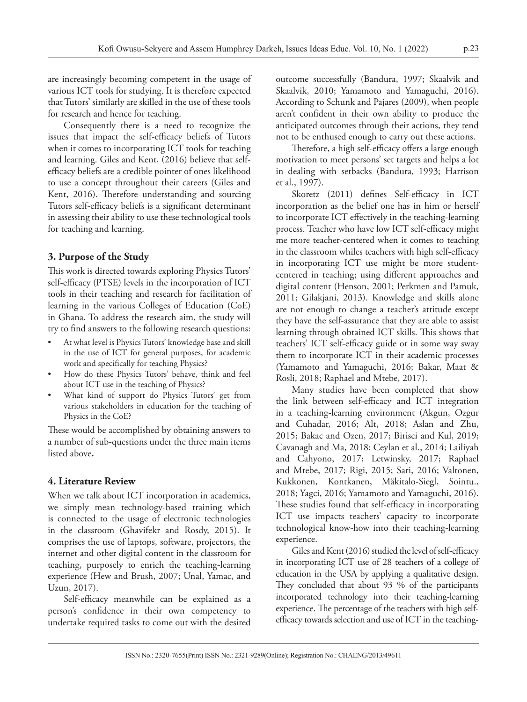are increasingly becoming competent in the usage of various ICT tools for studying. It is therefore expected that Tutors' similarly are skilled in the use of these tools for research and hence for teaching.

Consequently there is a need to recognize the issues that impact the self-efficacy beliefs of Tutors when it comes to incorporating ICT tools for teaching and learning. Giles and Kent, (2016) believe that selfefficacy beliefs are a credible pointer of ones likelihood to use a concept throughout their careers (Giles and Kent, 2016). Therefore understanding and sourcing Tutors self-efficacy beliefs is a significant determinant in assessing their ability to use these technological tools for teaching and learning.

#### **3. Purpose of the Study**

This work is directed towards exploring Physics Tutors' self-efficacy (PTSE) levels in the incorporation of ICT tools in their teaching and research for facilitation of learning in the various Colleges of Education (CoE) in Ghana. To address the research aim, the study will try to find answers to the following research questions:

- At what level is Physics Tutors' knowledge base and skill in the use of ICT for general purposes, for academic work and specifically for teaching Physics?
- How do these Physics Tutors' behave, think and feel about ICT use in the teaching of Physics?
- What kind of support do Physics Tutors' get from various stakeholders in education for the teaching of Physics in the CoE?

These would be accomplished by obtaining answers to a number of sub-questions under the three main items listed above**.**

#### **4. Literature Review**

When we talk about ICT incorporation in academics, we simply mean technology-based training which is connected to the usage of electronic technologies in the classroom (Ghavifekr and Rosdy, 2015). It comprises the use of laptops, software, projectors, the internet and other digital content in the classroom for teaching, purposely to enrich the teaching-learning experience (Hew and Brush, 2007; Unal, Yamac, and Uzun, 2017).

Self-efficacy meanwhile can be explained as a person's confidence in their own competency to undertake required tasks to come out with the desired outcome successfully (Bandura, 1997; Skaalvik and Skaalvik, 2010; Yamamoto and Yamaguchi, 2016). According to Schunk and Pajares (2009), when people aren't confident in their own ability to produce the anticipated outcomes through their actions, they tend not to be enthused enough to carry out these actions.

Therefore, a high self-efficacy offers a large enough motivation to meet persons' set targets and helps a lot in dealing with setbacks (Bandura, 1993; Harrison et al., 1997).

Skoretz (2011) defines Self-efficacy in ICT incorporation as the belief one has in him or herself to incorporate ICT effectively in the teaching-learning process. Teacher who have low ICT self-efficacy might me more teacher-centered when it comes to teaching in the classroom whiles teachers with high self-efficacy in incorporating ICT use might be more studentcentered in teaching; using different approaches and digital content (Henson, 2001; Perkmen and Pamuk, 2011; Gilakjani, 2013). Knowledge and skills alone are not enough to change a teacher's attitude except they have the self-assurance that they are able to assist learning through obtained ICT skills. This shows that teachers' ICT self-efficacy guide or in some way sway them to incorporate ICT in their academic processes (Yamamoto and Yamaguchi, 2016; Bakar, Maat & Rosli, 2018; Raphael and Mtebe, 2017).

Many studies have been completed that show the link between self-efficacy and ICT integration in a teaching-learning environment (Akgun, Ozgur and Cuhadar, 2016; Alt, 2018; Aslan and Zhu, 2015; Bakac and Ozen, 2017; Birisci and Kul, 2019; Cavanagh and Ma, 2018; Ceylan et al., 2014; Lailiyah and Cahyono, 2017; Letwinsky, 2017; Raphael and Mtebe, 2017; Rigi, 2015; Sari, 2016; Valtonen, Kukkonen, Kontkanen, Mäkitalo-Siegl, Sointu., 2018; Yagci, 2016; Yamamoto and Yamaguchi, 2016). These studies found that self-efficacy in incorporating ICT use impacts teachers' capacity to incorporate technological know-how into their teaching-learning experience.

Giles and Kent (2016) studied the level of self-efficacy in incorporating ICT use of 28 teachers of a college of education in the USA by applying a qualitative design. They concluded that about 93 % of the participants incorporated technology into their teaching-learning experience. The percentage of the teachers with high selfefficacy towards selection and use of ICT in the teaching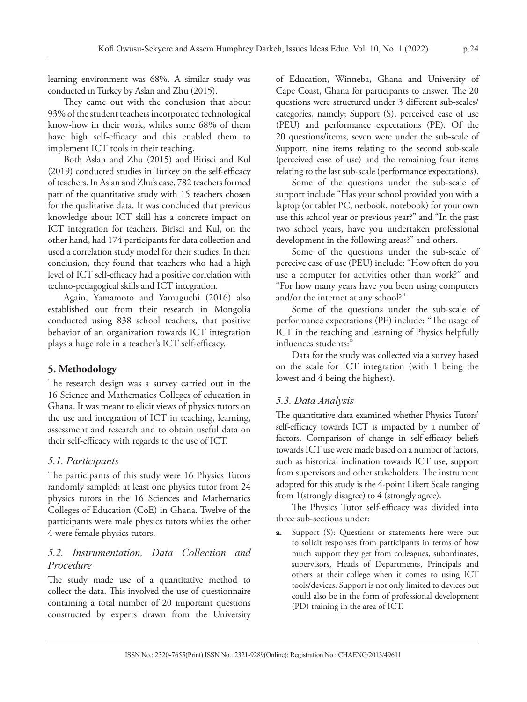learning environment was 68%. A similar study was conducted in Turkey by Aslan and Zhu (2015).

They came out with the conclusion that about 93% of the student teachers incorporated technological know-how in their work, whiles some 68% of them have high self-efficacy and this enabled them to implement ICT tools in their teaching.

Both Aslan and Zhu (2015) and Birisci and Kul (2019) conducted studies in Turkey on the self-efficacy of teachers. In Aslan and Zhu's case, 782 teachers formed part of the quantitative study with 15 teachers chosen for the qualitative data. It was concluded that previous knowledge about ICT skill has a concrete impact on ICT integration for teachers. Birisci and Kul, on the other hand, had 174 participants for data collection and used a correlation study model for their studies. In their conclusion, they found that teachers who had a high level of ICT self-efficacy had a positive correlation with techno-pedagogical skills and ICT integration.

Again, Yamamoto and Yamaguchi (2016) also established out from their research in Mongolia conducted using 838 school teachers, that positive behavior of an organization towards ICT integration plays a huge role in a teacher's ICT self-efficacy.

#### **5. Methodology**

The research design was a survey carried out in the 16 Science and Mathematics Colleges of education in Ghana. It was meant to elicit views of physics tutors on the use and integration of ICT in teaching, learning, assessment and research and to obtain useful data on their self-efficacy with regards to the use of ICT.

#### *5.1. Participants*

The participants of this study were 16 Physics Tutors randomly sampled; at least one physics tutor from 24 physics tutors in the 16 Sciences and Mathematics Colleges of Education (CoE) in Ghana. Twelve of the participants were male physics tutors whiles the other 4 were female physics tutors.

#### *5.2. Instrumentation, Data Collection and Procedure*

The study made use of a quantitative method to collect the data. This involved the use of questionnaire containing a total number of 20 important questions constructed by experts drawn from the University

of Education, Winneba, Ghana and University of Cape Coast, Ghana for participants to answer. The 20 questions were structured under 3 different sub-scales/ categories, namely; Support (S), perceived ease of use (PEU) and performance expectations (PE). Of the 20 questions/items, seven were under the sub-scale of Support, nine items relating to the second sub-scale (perceived ease of use) and the remaining four items relating to the last sub-scale (performance expectations).

Some of the questions under the sub-scale of support include "Has your school provided you with a laptop (or tablet PC, netbook, notebook) for your own use this school year or previous year?" and "In the past two school years, have you undertaken professional development in the following areas?" and others.

Some of the questions under the sub-scale of perceive ease of use (PEU) include: "How often do you use a computer for activities other than work?" and "For how many years have you been using computers and/or the internet at any school?"

Some of the questions under the sub-scale of performance expectations (PE) include: "The usage of ICT in the teaching and learning of Physics helpfully influences students:"

Data for the study was collected via a survey based on the scale for ICT integration (with 1 being the lowest and 4 being the highest).

#### *5.3. Data Analysis*

The quantitative data examined whether Physics Tutors' self-efficacy towards ICT is impacted by a number of factors. Comparison of change in self-efficacy beliefs towards ICT use were made based on a number of factors, such as historical inclination towards ICT use, support from supervisors and other stakeholders. The instrument adopted for this study is the 4-point Likert Scale ranging from 1(strongly disagree) to 4 (strongly agree).

The Physics Tutor self-efficacy was divided into three sub-sections under:

**a.** Support (S): Questions or statements here were put to solicit responses from participants in terms of how much support they get from colleagues, subordinates, supervisors, Heads of Departments, Principals and others at their college when it comes to using ICT tools/devices. Support is not only limited to devices but could also be in the form of professional development (PD) training in the area of ICT.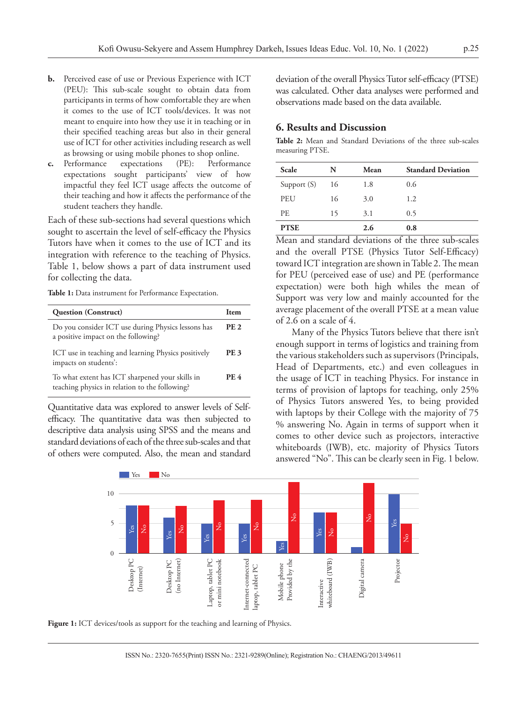- **b.** Perceived ease of use or Previous Experience with ICT (PEU): This sub-scale sought to obtain data from participants in terms of how comfortable they are when it comes to the use of ICT tools/devices. It was not meant to enquire into how they use it in teaching or in their specified teaching areas but also in their general use of ICT for other activities including research as well as browsing or using mobile phones to shop online.
- **c.** Performance expectations (PE): Performance expectations sought participants' view of how impactful they feel ICT usage affects the outcome of their teaching and how it affects the performance of the student teachers they handle.

Each of these sub-sections had several questions which sought to ascertain the level of self-efficacy the Physics Tutors have when it comes to the use of ICT and its integration with reference to the teaching of Physics. Table 1, below shows a part of data instrument used for collecting the data.

**Table 1:** Data instrument for Performance Expectation.

| <b>Question (Construct)</b>                                                                       | <b>Item</b> |
|---------------------------------------------------------------------------------------------------|-------------|
| Do you consider ICT use during Physics lessons has<br>a positive impact on the following?         | <b>PE 2</b> |
| ICT use in teaching and learning Physics positively<br>impacts on students':                      | PE 3        |
| To what extent has ICT sharpened your skills in<br>teaching physics in relation to the following? | <b>PE 4</b> |

Quantitative data was explored to answer levels of Selfefficacy. The quantitative data was then subjected to descriptive data analysis using SPSS and the means and standard deviations of each of the three sub-scales and that of others were computed. Also, the mean and standard deviation of the overall Physics Tutor self-efficacy (PTSE) was calculated. Other data analyses were performed and observations made based on the data available.

#### **6. Results and Discussion**

**Table 2:** Mean and Standard Deviations of the three sub-scales measuring PTSE.

| Scale       | N  | Mean | <b>Standard Deviation</b> |
|-------------|----|------|---------------------------|
| Support (S) | 16 | 1.8  | 0.6                       |
| PEU         | 16 | 3.0  | 1.2                       |
| PE.         | 15 | 3.1  | 0.5                       |
| <b>PTSE</b> |    | 2.6  | 0.8                       |

Mean and standard deviations of the three sub-scales and the overall PTSE (Physics Tutor Self-Efficacy) toward ICT integration are shown in Table 2. The mean for PEU (perceived ease of use) and PE (performance expectation) were both high whiles the mean of Support was very low and mainly accounted for the average placement of the overall PTSE at a mean value of 2.6 on a scale of 4.

Many of the Physics Tutors believe that there isn't enough support in terms of logistics and training from the various stakeholders such as supervisors (Principals, Head of Departments, etc.) and even colleagues in the usage of ICT in teaching Physics. For instance in terms of provision of laptops for teaching, only 25% of Physics Tutors answered Yes, to being provided with laptops by their College with the majority of 75 % answering No. Again in terms of support when it comes to other device such as projectors, interactive whiteboards (IWB), etc. majority of Physics Tutors answered "No". This can be clearly seen in Fig. 1 below.



Figure 1: ICT devices/tools as support for the teaching and learning of Physics.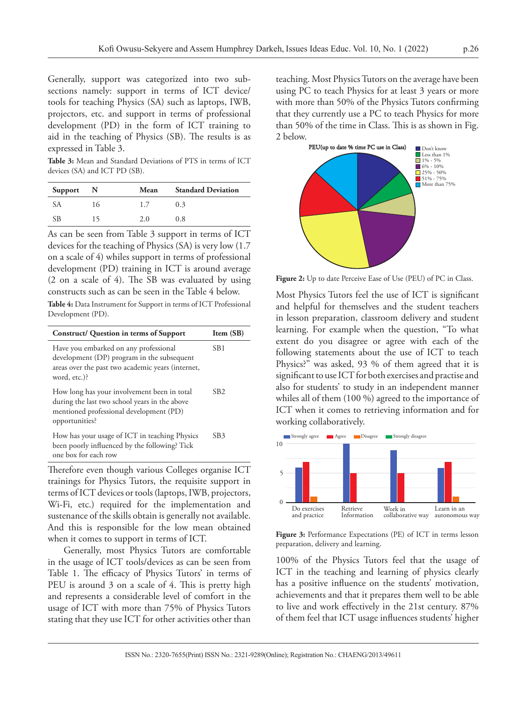Generally, support was categorized into two subsections namely: support in terms of ICT device/ tools for teaching Physics (SA) such as laptops, IWB, projectors, etc. and support in terms of professional development (PD) in the form of ICT training to aid in the teaching of Physics (SB). The results is as expressed in Table 3.

**Table 3:** Mean and Standard Deviations of PTS in terms of ICT devices (SA) and ICT PD (SB).

| Support | - N | Mean | <b>Standard Deviation</b> |
|---------|-----|------|---------------------------|
| SА      | 16  | 1.7  | 0.3                       |
| SB      | 15  | 2.0  | 0.8                       |

As can be seen from Table 3 support in terms of ICT devices for the teaching of Physics (SA) is very low (1.7 on a scale of 4) whiles support in terms of professional development (PD) training in ICT is around average (2 on a scale of 4). The SB was evaluated by using constructs such as can be seen in the Table 4 below.

**Table 4:** Data Instrument for Support in terms of ICT Professional Development (PD).

| Construct/ Question in terms of Support                                                                                                                   | Item (SB)       |
|-----------------------------------------------------------------------------------------------------------------------------------------------------------|-----------------|
| Have you embarked on any professional<br>development (DP) program in the subsequent<br>areas over the past two academic years (internet,<br>word, etc.)?  | SB <sub>1</sub> |
| How long has your involvement been in total<br>during the last two school years in the above<br>mentioned professional development (PD)<br>opportunities? | SB <sub>2</sub> |
| How has your usage of ICT in teaching Physics<br>been poorly influenced by the following? Tick<br>one box for each row                                    | SB <sub>3</sub> |
|                                                                                                                                                           |                 |

Therefore even though various Colleges organise ICT trainings for Physics Tutors, the requisite support in terms of ICT devices or tools (laptops, IWB, projectors, Wi-Fi, etc.) required for the implementation and sustenance of the skills obtain is generally not available. And this is responsible for the low mean obtained when it comes to support in terms of ICT.

Generally, most Physics Tutors are comfortable in the usage of ICT tools/devices as can be seen from Table 1. The efficacy of Physics Tutors' in terms of PEU is around 3 on a scale of 4. This is pretty high and represents a considerable level of comfort in the usage of ICT with more than 75% of Physics Tutors stating that they use ICT for other activities other than

teaching. Most Physics Tutors on the average have been using PC to teach Physics for at least 3 years or more with more than 50% of the Physics Tutors confirming that they currently use a PC to teach Physics for more than 50% of the time in Class. This is as shown in Fig. 2 below.



**Figure 2:** Up to date Perceive Ease of Use (PEU) of PC in Class.

Most Physics Tutors feel the use of ICT is significant and helpful for themselves and the student teachers in lesson preparation, classroom delivery and student learning. For example when the question, "To what extent do you disagree or agree with each of the following statements about the use of ICT to teach Physics?" was asked, 93 % of them agreed that it is significant to use ICT for both exercises and practise and also for students' to study in an independent manner whiles all of them (100 %) agreed to the importance of ICT when it comes to retrieving information and for working collaboratively.



**Figure 3:** Performance Expectations (PE) of ICT in terms lesson preparation, delivery and learning.

100% of the Physics Tutors feel that the usage of ICT in the teaching and learning of physics clearly has a positive influence on the students' motivation, achievements and that it prepares them well to be able to live and work effectively in the 21st century. 87% of them feel that ICT usage influences students' higher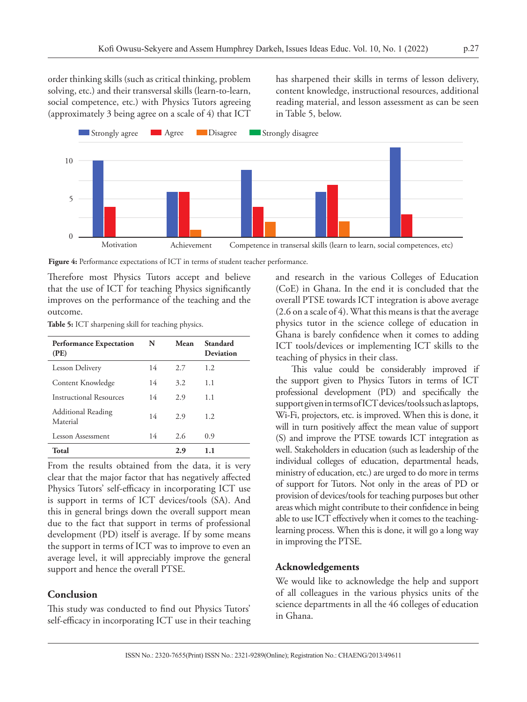order thinking skills (such as critical thinking, problem solving, etc.) and their transversal skills (learn-to-learn, social competence, etc.) with Physics Tutors agreeing (approximately 3 being agree on a scale of 4) that ICT

has sharpened their skills in terms of lesson delivery, content knowledge, instructional resources, additional reading material, and lesson assessment as can be seen in Table 5, below.



**Figure 4:** Performance expectations of ICT in terms of student teacher performance.

Therefore most Physics Tutors accept and believe that the use of ICT for teaching Physics significantly improves on the performance of the teaching and the outcome.

**Table 5:** ICT sharpening skill for teaching physics.

| <b>Performance Expectation</b><br>(PE) | N  | Mean | Standard<br>Deviation |
|----------------------------------------|----|------|-----------------------|
| <b>Lesson Delivery</b>                 | 14 | 2.7  | 1.2                   |
| Content Knowledge                      | 14 | 3.2  | 1.1                   |
| Instructional Resources                | 14 | 2.9  | 1.1                   |
| <b>Additional Reading</b><br>Material  | 14 | 2.9  | 1.2                   |
| Lesson Assessment                      | 14 | 2.6  | 0.9                   |
| Total                                  |    | 2.9  | 1.1                   |

From the results obtained from the data, it is very clear that the major factor that has negatively affected Physics Tutors' self-efficacy in incorporating ICT use is support in terms of ICT devices/tools (SA). And this in general brings down the overall support mean due to the fact that support in terms of professional development (PD) itself is average. If by some means the support in terms of ICT was to improve to even an average level, it will appreciably improve the general support and hence the overall PTSE.

#### **Conclusion**

This study was conducted to find out Physics Tutors' self-efficacy in incorporating ICT use in their teaching and research in the various Colleges of Education (CoE) in Ghana. In the end it is concluded that the overall PTSE towards ICT integration is above average (2.6 on a scale of 4). What this means is that the average physics tutor in the science college of education in Ghana is barely confidence when it comes to adding ICT tools/devices or implementing ICT skills to the teaching of physics in their class.

This value could be considerably improved if the support given to Physics Tutors in terms of ICT professional development (PD) and specifically the support given in terms of ICT devices/tools such as laptops, Wi-Fi, projectors, etc. is improved. When this is done, it will in turn positively affect the mean value of support (S) and improve the PTSE towards ICT integration as well. Stakeholders in education (such as leadership of the individual colleges of education, departmental heads, ministry of education, etc.) are urged to do more in terms of support for Tutors. Not only in the areas of PD or provision of devices/tools for teaching purposes but other areas which might contribute to their confidence in being able to use ICT effectively when it comes to the teachinglearning process. When this is done, it will go a long way in improving the PTSE.

#### **Acknowledgements**

We would like to acknowledge the help and support of all colleagues in the various physics units of the science departments in all the 46 colleges of education in Ghana.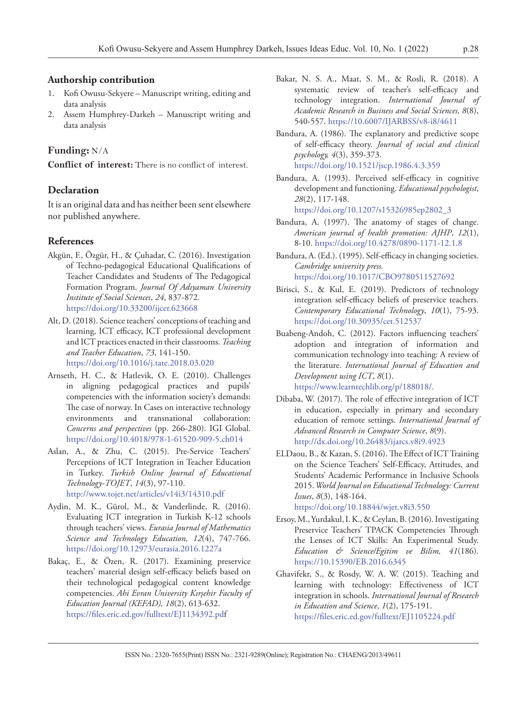#### **Authorship contribution**

- 1. Kofi Owusu-Sekyere Manuscript writing, editing and data analysis
- 2. Assem Humphrey-Darkeh Manuscript writing and data analysis

#### **Funding:** N/A

**Conflict of interest:** There is no conflict of interest.

#### **Declaration**

It is an original data and has neither been sent elsewhere nor published anywhere.

#### **References**

- Akgün, F., Özgür, H., & Çuhadar, C. (2016). Investigation of Techno-pedagogical Educational Qualifications of Teacher Candidates and Students of The Pedagogical Formation Program. *Journal Of Adıyaman University Institute of Social Sciences*, *24*, 837-872. https://doi.org/10.33200/ijcer.623668
- Alt, D. (2018). Science teachers' conceptions of teaching and learning, ICT efficacy, ICT professional development and ICT practices enacted in their classrooms. *Teaching and Teacher Education*, *73*, 141-150. https://doi.org/10.1016/j.tate.2018.03.020
- Arnseth, H. C., & Hatlevik, O. E. (2010). Challenges in aligning pedagogical practices and pupils' competencies with the information society's demands: The case of norway. In Cases on interactive technology environments and transnational collaboration: *Concerns and perspectives* (pp. 266-280). IGI Global. https://doi.org/10.4018/978-1-61520-909-5.ch014
- Aslan, A., & Zhu, C. (2015). Pre-Service Teachers' Perceptions of ICT Integration in Teacher Education in Turkey. *Turkish Online Journal of Educational Technology-TOJET*, *14*(3), 97-110. http://www.tojet.net/articles/v14i3/14310.pdf
- Aydin, M. K., Gürol, M., & Vanderlinde, R. (2016). Evaluating ICT integration in Turkish K-12 schools through teachers' views. *Eurasia Journal of Mathematics Science and Technology Education, 12*(4), 747-766. https://doi.org/10.12973/eurasia.2016.1227a
- Bakaç, E., & Özen, R. (2017). Examining preservice teachers' material design self-efficacy beliefs based on their technological pedagogical content knowledge competencies. *Ahi Evran University Kırşehir Faculty of Education Journal (KEFAD), 18*(2), 613-632. https://files.eric.ed.gov/fulltext/EJ1134392.pdf
- Bakar, N. S. A., Maat, S. M., & Rosli, R. (2018). A systematic review of teacher's self-efficacy and technology integration. *International Journal of Academic Research in Business and Social Sciences, 8*(8), 540-557. https://10.6007/IJARBSS/v8-i8/4611
- Bandura, A. (1986). The explanatory and predictive scope of self-efficacy theory. *Journal of social and clinical psychology, 4*(3), 359-373. https://doi.org/10.1521/jscp.1986.4.3.359
- Bandura, A. (1993). Perceived self-efficacy in cognitive development and functioning. *Educational psychologist*, *28*(2), 117-148.

https://doi.org/10.1207/s15326985ep2802\_3

- Bandura, A. (1997). The anatomy of stages of change. *American journal of health promotion: AJHP*, *12*(1), 8-10. https://doi.org/10.4278/0890-1171-12.1.8
- Bandura, A. (Ed.). (1995). Self-efficacy in changing societies. *Cambridge university press.*  https://doi.org/10.1017/CBO9780511527692
- Birisci, S., & Kul, E. (2019). Predictors of technology integration self-efficacy beliefs of preservice teachers. *Contemporary Educational Technology*, *10*(1), 75-93. https://doi.org/10.30935/cet.512537
- Buabeng-Andoh, C. (2012). Factors influencing teachers' adoption and integration of information and communication technology into teaching: A review of the literature. *International Journal of Education and Development using ICT*, *8*(1). https://www.learntechlib.org/p/188018/.
- Dibaba, W. (2017). The role of effective integration of ICT in education, especially in primary and secondary education of remote settings. *International Journal of Advanced Research in Computer Science*, *8*(9). http://dx.doi.org/10.26483/ijarcs.v8i9.4923
- ELDaou, B., & Kazan, S. (2016). The Effect of ICT Training on the Science Teachers' Self-Efficacy, Attitudes, and Students' Academic Performance in Inclusive Schools 2015. *World Journal on Educational Technology: Current Issues*, *8*(3), 148-164. https://doi.org/10.18844/wjet.v8i3.550
- Ersoy, M., Yurdakul, I. K., & Ceylan, B. (2016). Investigating Preservice Teachers' TPACK Competencies Through the Lenses of ICT Skills: An Experimental Study. *Education & Science/Egitim ve Bilim, 41*(186). https://10.15390/EB.2016.6345
- Ghavifekr, S., & Rosdy, W. A. W. (2015). Teaching and learning with technology: Effectiveness of ICT integration in schools. *International Journal of Research in Education and Science*, *1*(2), 175-191. https://files.eric.ed.gov/fulltext/EJ1105224.pdf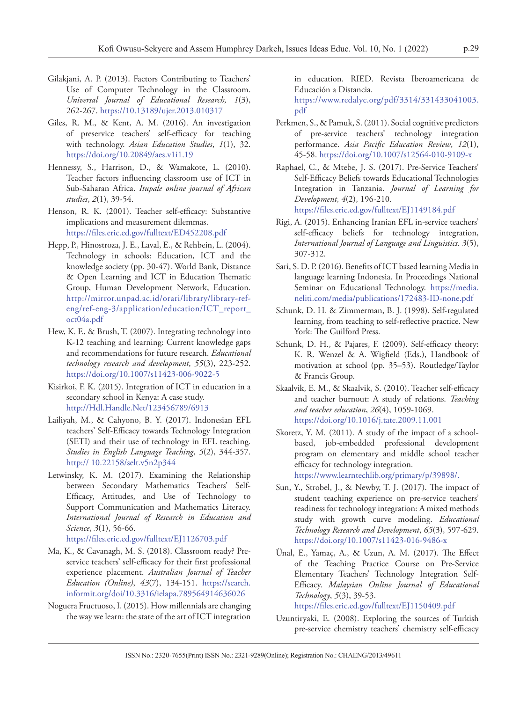- Gilakjani, A. P. (2013). Factors Contributing to Teachers' Use of Computer Technology in the Classroom. *Universal Journal of Educational Research, 1*(3), 262-267. https://10.13189/ujer.2013.010317
- Giles, R. M., & Kent, A. M. (2016). An investigation of preservice teachers' self-efficacy for teaching with technology. *Asian Education Studies*, *1*(1), 32. https://doi.org/10.20849/aes.v1i1.19
- Hennessy, S., Harrison, D., & Wamakote, L. (2010). Teacher factors influencing classroom use of ICT in Sub-Saharan Africa. *Itupale online journal of African studies*, *2*(1), 39-54.
- Henson, R. K. (2001). Teacher self-efficacy: Substantive implications and measurement dilemmas. https://files.eric.ed.gov/fulltext/ED452208.pdf
- Hepp, P., Hinostroza, J. E., Laval, E., & Rehbein, L. (2004). Technology in schools: Education, ICT and the knowledge society (pp. 30-47). World Bank, Distance & Open Learning and ICT in Education Thematic Group, Human Development Network, Education. http://mirror.unpad.ac.id/orari/library/library-refeng/ref-eng-3/application/education/ICT\_report\_ oct04a.pdf
- Hew, K. F., & Brush, T. (2007). Integrating technology into K-12 teaching and learning: Current knowledge gaps and recommendations for future research. *Educational technology research and development*, *55*(3), 223-252. https://doi.org/10.1007/s11423-006-9022-5
- Kisirkoi, F. K. (2015). Integration of ICT in education in a secondary school in Kenya: A case study. http://Hdl.Handle.Net/123456789/6913
- Lailiyah, M., & Cahyono, B. Y. (2017). Indonesian EFL teachers' Self-Efficacy towards Technology Integration (SETI) and their use of technology in EFL teaching. *Studies in English Language Teaching*, *5*(2), 344-357. http:// 10.22158/selt.v5n2p344
- Letwinsky, K. M. (2017). Examining the Relationship between Secondary Mathematics Teachers' Self-Efficacy, Attitudes, and Use of Technology to Support Communication and Mathematics Literacy. *International Journal of Research in Education and Science*, *3*(1), 56-66. https://files.eric.ed.gov/fulltext/EJ1126703.pdf
- Ma, K., & Cavanagh, M. S. (2018). Classroom ready? Preservice teachers' self-efficacy for their first professional experience placement. *Australian Journal of Teacher Education (Online)*, *43*(7), 134-151. [https://search.](https://search.informit.org/doi/10.3316/ielapa.789564914636026) [informit.org/doi/10.3316/ielapa.789564914636026](https://search.informit.org/doi/10.3316/ielapa.789564914636026)
- Noguera Fructuoso, I. (2015). How millennials are changing the way we learn: the state of the art of ICT integration

in education. RIED. Revista Iberoamericana de Educación a Distancia.

https://www.redalyc.org/pdf/3314/331433041003. pdf

- Perkmen, S., & Pamuk, S. (2011). Social cognitive predictors of pre-service teachers' technology integration performance. *Asia Pacific Education Review*, *12*(1), 45-58. https://doi.org/10.1007/s12564-010-9109-x
- Raphael, C., & Mtebe, J. S. (2017). Pre-Service Teachers' Self-Efficacy Beliefs towards Educational Technologies Integration in Tanzania. *Journal of Learning for Development, 4*(2), 196-210. https://files.eric.ed.gov/fulltext/EJ1149184.pdf
- Rigi, A. (2015). Enhancing Iranian EFL in-service teachers' self-efficacy beliefs for technology integration, *International Journal of Language and Linguistics. 3*(5), 307-312.
- Sari, S. D. P. (2016). Benefits of ICT based learning Media in language learning Indonesia. In Proceedings National Seminar on Educational Technology. https://media. neliti.com/media/publications/172483-ID-none.pdf
- Schunk, D. H. & Zimmerman, B. J. (1998). Self-regulated learning, from teaching to self-reflective practice. New York: The Guilford Press.
- Schunk, D. H., & Pajares, F. (2009). Self-efficacy theory: K. R. Wenzel & A. Wigfield (Eds.), Handbook of motivation at school (pp. 35–53). Routledge/Taylor & Francis Group.
- Skaalvik, E. M., & Skaalvik, S. (2010). Teacher self-efficacy and teacher burnout: A study of relations. *Teaching and teacher education*, *26*(4), 1059-1069. https://doi.org/10.1016/j.tate.2009.11.001
- Skoretz, Y. M. (2011). A study of the impact of a schoolbased, job-embedded professional development program on elementary and middle school teacher efficacy for technology integration.

https://www.learntechlib.org/primary/p/39898/.

- Sun, Y., Strobel, J., & Newby, T. J. (2017). The impact of student teaching experience on pre-service teachers' readiness for technology integration: A mixed methods study with growth curve modeling. *Educational Technology Research and Development*, *65*(3), 597-629. https://doi.org/10.1007/s11423-016-9486-x
- Ünal, E., Yamaç, A., & Uzun, A. M. (2017). The Effect of the Teaching Practice Course on Pre-Service Elementary Teachers' Technology Integration Self-Efficacy. *Malaysian Online Journal of Educational Technology*, *5*(3), 39-53.

https://files.eric.ed.gov/fulltext/EJ1150409.pdf

Uzuntiryaki, E. (2008). Exploring the sources of Turkish pre-service chemistry teachers' chemistry self-efficacy